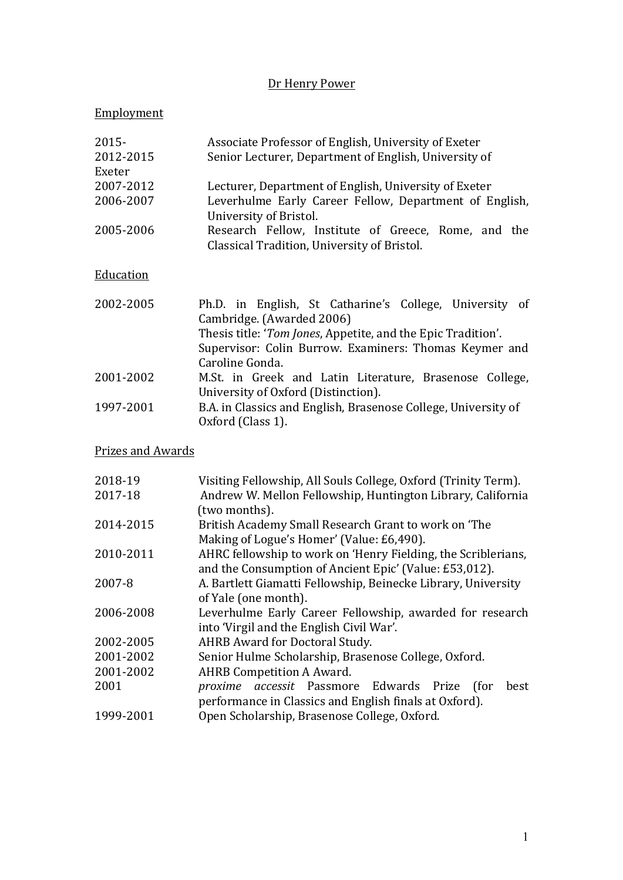# Dr Henry Power

# Employment

| $2015 -$<br>2012-2015 | Associate Professor of English, University of Exeter<br>Senior Lecturer, Department of English, University of |
|-----------------------|---------------------------------------------------------------------------------------------------------------|
| Exeter<br>2007-2012   | Lecturer, Department of English, University of Exeter                                                         |
| 2006-2007             | Leverhulme Early Career Fellow, Department of English,<br>University of Bristol.                              |
| 2005-2006             | Research Fellow, Institute of Greece, Rome, and the<br>Classical Tradition, University of Bristol.            |
| Education             |                                                                                                               |
| 2002-2005             | Ph.D. in English, St Catharine's College, University of<br>Cambridge. (Awarded 2006)                          |

|           | Cambridge. (Awarded 2006)                                      |
|-----------|----------------------------------------------------------------|
|           | Thesis title: 'Tom Jones, Appetite, and the Epic Tradition'.   |
|           | Supervisor: Colin Burrow. Examiners: Thomas Keymer and         |
|           | Caroline Gonda.                                                |
| 2001-2002 | M.St. in Greek and Latin Literature, Brasenose College,        |
|           | University of Oxford (Distinction).                            |
| 1997-2001 | B.A. in Classics and English, Brasenose College, University of |
|           | Oxford (Class 1).                                              |

**Prizes and Awards** 

| 2018-19   | Visiting Fellowship, All Souls College, Oxford (Trinity Term).    |
|-----------|-------------------------------------------------------------------|
| 2017-18   | Andrew W. Mellon Fellowship, Huntington Library, California       |
|           | (two months).                                                     |
| 2014-2015 | British Academy Small Research Grant to work on 'The              |
|           | Making of Logue's Homer' (Value: £6,490).                         |
| 2010-2011 | AHRC fellowship to work on 'Henry Fielding, the Scriblerians,     |
|           | and the Consumption of Ancient Epic' (Value: £53,012).            |
| 2007-8    | A. Bartlett Giamatti Fellowship, Beinecke Library, University     |
|           | of Yale (one month).                                              |
| 2006-2008 | Leverhulme Early Career Fellowship, awarded for research          |
|           | into 'Virgil and the English Civil War'.                          |
| 2002-2005 | AHRB Award for Doctoral Study.                                    |
| 2001-2002 | Senior Hulme Scholarship, Brasenose College, Oxford.              |
| 2001-2002 | <b>AHRB</b> Competition A Award.                                  |
| 2001      | <i>accessit</i> Passmore Edwards Prize<br>proxime<br>for)<br>best |
|           | performance in Classics and English finals at Oxford).            |
| 1999-2001 | Open Scholarship, Brasenose College, Oxford.                      |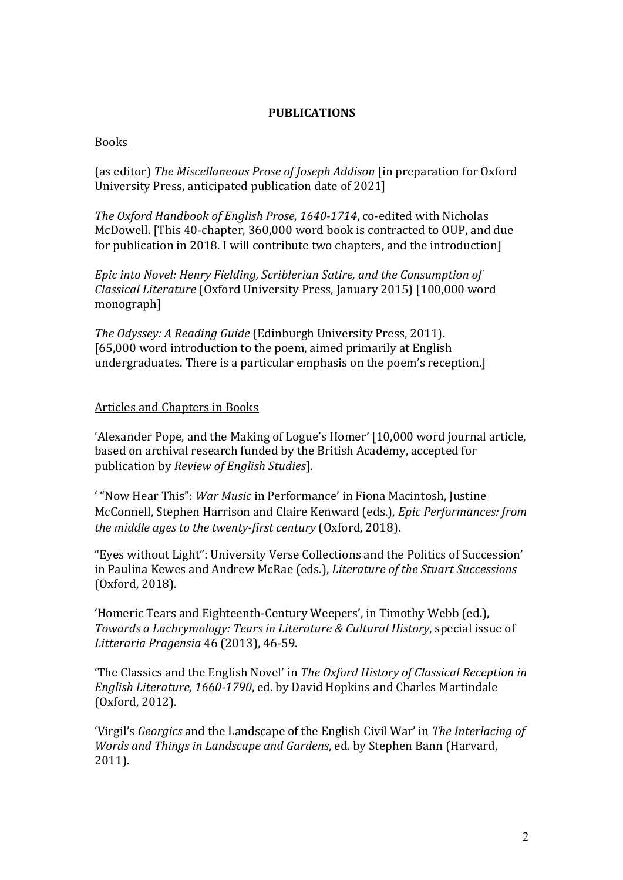### **PUBLICATIONS**

### Books

(as editor) The Miscellaneous Prose of Joseph Addison [in preparation for Oxford University Press, anticipated publication date of 2021]

*The Oxford Handbook of English Prose, 1640-1714, co-edited with Nicholas* McDowell. [This 40-chapter, 360,000 word book is contracted to OUP, and due for publication in 2018. I will contribute two chapters, and the introduction]

*Epic into Novel: Henry Fielding, Scriblerian Satire, and the Consumption of Classical Literature* (Oxford University Press, January 2015) [100,000 word monograph]

*The Odyssey: A Reading Guide* (Edinburgh University Press, 2011). [65,000 word introduction to the poem, aimed primarily at English undergraduates. There is a particular emphasis on the poem's reception.]

### Articles and Chapters in Books

'Alexander Pope, and the Making of Logue's Homer' [10,000 word journal article, based on archival research funded by the British Academy, accepted for publication by *Review of English Studies*].

' "Now Hear This": *War Music* in Performance' in Fiona Macintosh, Justine McConnell, Stephen Harrison and Claire Kenward (eds.), *Epic Performances: from the middle ages to the twenty-first century* (Oxford, 2018).

"Eyes without Light": University Verse Collections and the Politics of Succession' in Paulina Kewes and Andrew McRae (eds.), *Literature of the Stuart Successions* (Oxford, 2018).

'Homeric Tears and Eighteenth-Century Weepers', in Timothy Webb (ed.), *Towards a Lachrymology: Tears in Literature & Cultural History, special issue of Litteraria Pragensia* 46 (2013), 46-59.

The Classics and the English Novel' in *The Oxford History of Classical Reception in English Literature, 1660-1790*, ed. by David Hopkins and Charles Martindale (Oxford, 2012).

'Virgil's *Georgics* and the Landscape of the English Civil War' in *The Interlacing of Words* and *Things in Landscape and Gardens*, ed. by Stephen Bann (Harvard, 2011).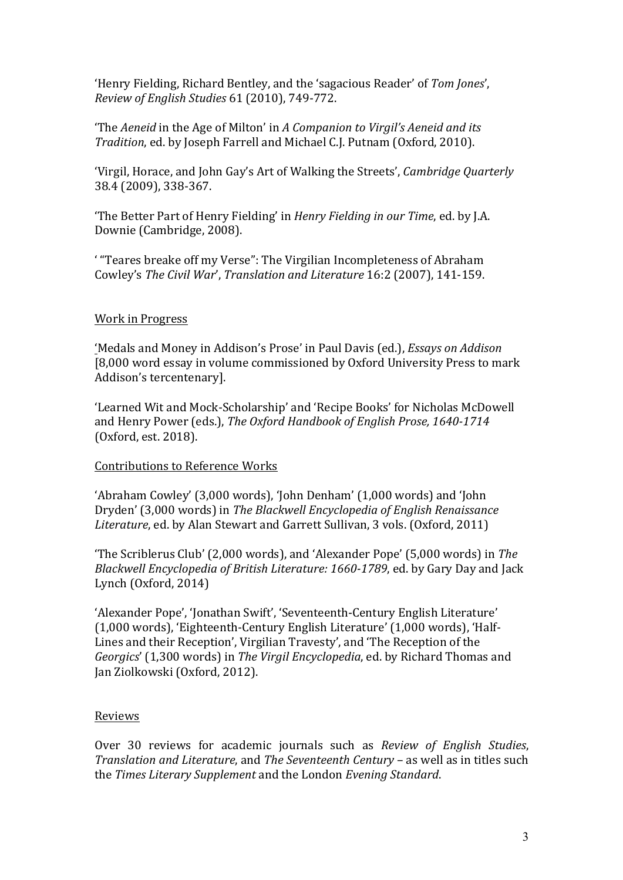'Henry Fielding, Richard Bentley, and the 'sagacious Reader' of Tom Jones', *Review of English Studies* 61 (2010), 749-772.

The *Aeneid* in the Age of Milton' in *A Companion to Virgil's Aeneid and its Tradition*, ed. by Joseph Farrell and Michael C.J. Putnam (Oxford, 2010).

'Virgil, Horace, and John Gay's Art of Walking the Streets', *Cambridge Quarterly* 38.4 (2009), 338-367.

"The Better Part of Henry Fielding' in *Henry Fielding in our Time*, ed. by J.A. Downie (Cambridge, 2008).

' "Teares breake off my Verse": The Virgilian Incompleteness of Abraham Cowley's *The Civil War'*, *Translation and Literature* 16:2 (2007), 141-159.

### Work in Progress

'Medals and Money in Addison's Prose' in Paul Davis (ed.), *Essays on Addison* [8,000 word essay in volume commissioned by Oxford University Press to mark Addison's tercentenary].

'Learned Wit and Mock-Scholarship' and 'Recipe Books' for Nicholas McDowell and Henry Power (eds.), *The Oxford Handbook of English Prose, 1640-1714* (Oxford, est. 2018).

### Contributions to Reference Works

'Abraham Cowley' (3,000 words), 'John Denham' (1,000 words) and 'John Dryden' (3,000 words) in *The Blackwell Encyclopedia of English Renaissance* Literature, ed. by Alan Stewart and Garrett Sullivan, 3 vols. (Oxford, 2011)

'The Scriblerus Club' (2,000 words), and 'Alexander Pope' (5,000 words) in *The Blackwell Encyclopedia of British Literature: 1660-1789*, ed. by Gary Day and Jack Lynch  $(Oxford, 2014)$ 

'Alexander Pope', 'Jonathan Swift', 'Seventeenth-Century English Literature' (1,000 words), 'Eighteenth-Century English Literature' (1,000 words), 'Half-Lines and their Reception', Virgilian Travesty', and 'The Reception of the *Georgics'* (1,300 words) in *The Virgil Encyclopedia*, ed. by Richard Thomas and Jan Ziolkowski (Oxford, 2012).

# Reviews

Over 30 reviews for academic journals such as *Review of English Studies*, *Translation and Literature*, and *The Seventeenth Century* – as well as in titles such the *Times Literary Supplement* and the London *Evening Standard*.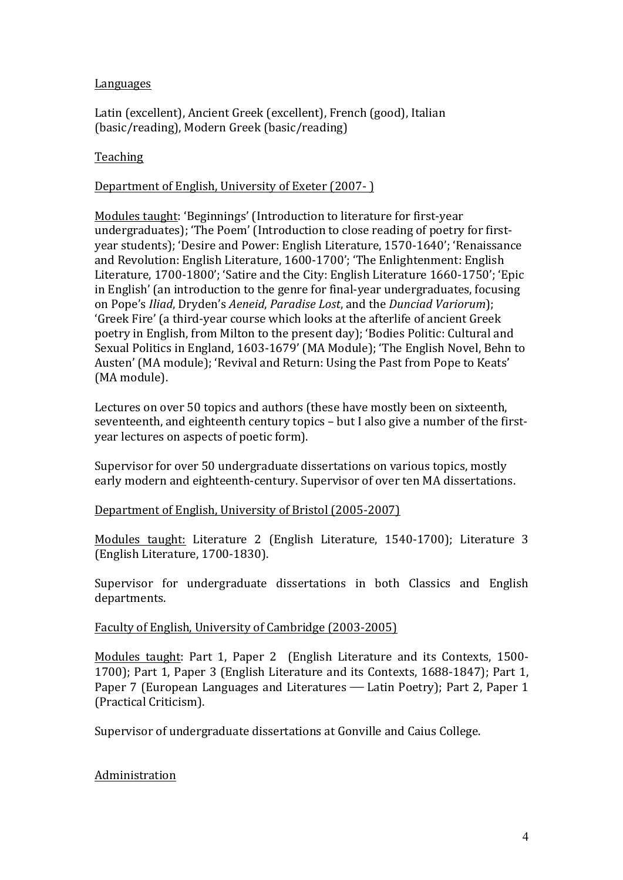# Languages

Latin (excellent), Ancient Greek (excellent), French (good), Italian (basic/reading), Modern Greek (basic/reading)

# Teaching

# Department of English, University of Exeter (2007-)

Modules taught: 'Beginnings' (Introduction to literature for first-year undergraduates); 'The Poem' (Introduction to close reading of poetry for firstyear students); 'Desire and Power: English Literature, 1570-1640'; 'Renaissance and Revolution: English Literature, 1600-1700'; 'The Enlightenment: English Literature, 1700-1800'; 'Satire and the City: English Literature 1660-1750'; 'Epic in English' (an introduction to the genre for final-year undergraduates, focusing on Pope's *Iliad*, Dryden's *Aeneid*, *Paradise Lost*, and the *Dunciad Variorum*); 'Greek Fire' (a third-year course which looks at the afterlife of ancient Greek poetry in English, from Milton to the present day); 'Bodies Politic: Cultural and Sexual Politics in England, 1603-1679' (MA Module); 'The English Novel, Behn to Austen' (MA module): 'Revival and Return: Using the Past from Pope to Keats' (MA module).

Lectures on over 50 topics and authors (these have mostly been on sixteenth, seventeenth, and eighteenth century topics - but I also give a number of the firstyear lectures on aspects of poetic form).

Supervisor for over 50 undergraduate dissertations on various topics, mostly early modern and eighteenth-century. Supervisor of over ten MA dissertations.

# Department of English, University of Bristol (2005-2007)

Modules taught: Literature 2 (English Literature, 1540-1700); Literature 3 (English Literature, 1700-1830).

Supervisor for undergraduate dissertations in both Classics and English departments.

# Faculty of English, University of Cambridge (2003-2005)

Modules taught: Part 1, Paper 2 (English Literature and its Contexts, 1500-1700); Part 1, Paper 3 (English Literature and its Contexts, 1688-1847); Part 1, Paper 7 (European Languages and Literatures – Latin Poetry); Part 2, Paper 1 (Practical Criticism).

Supervisor of undergraduate dissertations at Gonville and Caius College.

# Administration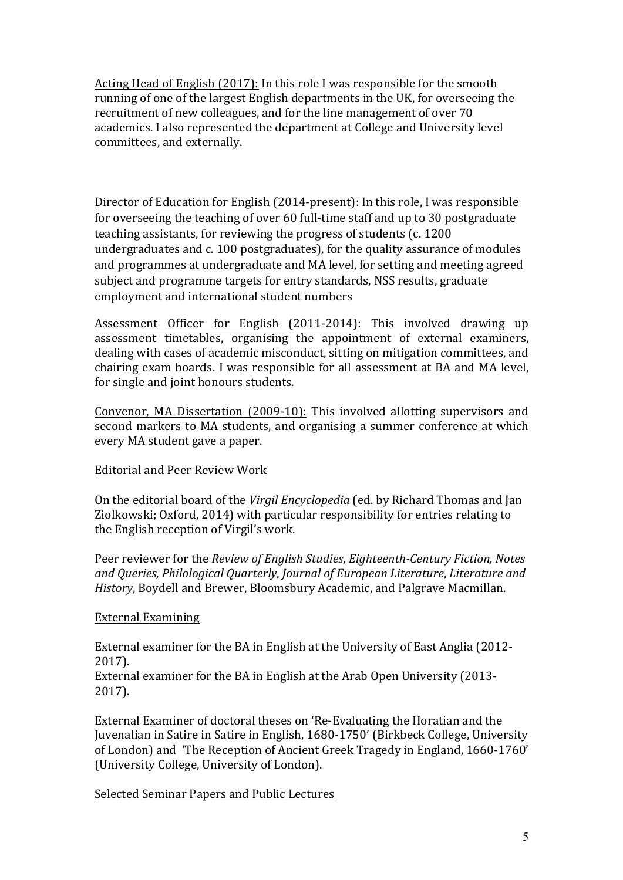Acting Head of English (2017): In this role I was responsible for the smooth running of one of the largest English departments in the UK, for overseeing the recruitment of new colleagues, and for the line management of over 70 academics. I also represented the department at College and University level committees, and externally.

Director of Education for English (2014-present): In this role, I was responsible for overseeing the teaching of over 60 full-time staff and up to 30 postgraduate teaching assistants, for reviewing the progress of students (c. 1200) undergraduates and c. 100 postgraduates), for the quality assurance of modules and programmes at undergraduate and MA level, for setting and meeting agreed subject and programme targets for entry standards, NSS results, graduate employment and international student numbers

Assessment Officer for English (2011-2014): This involved drawing up assessment timetables, organising the appointment of external examiners, dealing with cases of academic misconduct, sitting on mitigation committees, and chairing exam boards. I was responsible for all assessment at BA and MA level, for single and joint honours students.

Convenor, MA Dissertation (2009-10): This involved allotting supervisors and second markers to MA students, and organising a summer conference at which every MA student gave a paper.

# **Editorial and Peer Review Work**

On the editorial board of the *Virgil Encyclopedia* (ed. by Richard Thomas and Jan Ziolkowski; Oxford, 2014) with particular responsibility for entries relating to the English reception of Virgil's work.

Peer reviewer for the *Review of English Studies*, *Eighteenth-Century Fiction, Notes and Queries, Philological Quarterly*, *Journal of European Literature*, *Literature and History*, Boydell and Brewer, Bloomsbury Academic, and Palgrave Macmillan.

# External Examining

External examiner for the BA in English at the University of East Anglia (2012-2017).

External examiner for the BA in English at the Arab Open University (2013-2017).

External Examiner of doctoral theses on 'Re-Evaluating the Horatian and the Juvenalian in Satire in Satire in English, 1680-1750' (Birkbeck College, University of London) and 'The Reception of Ancient Greek Tragedy in England, 1660-1760' (University College, University of London).

### Selected Seminar Papers and Public Lectures